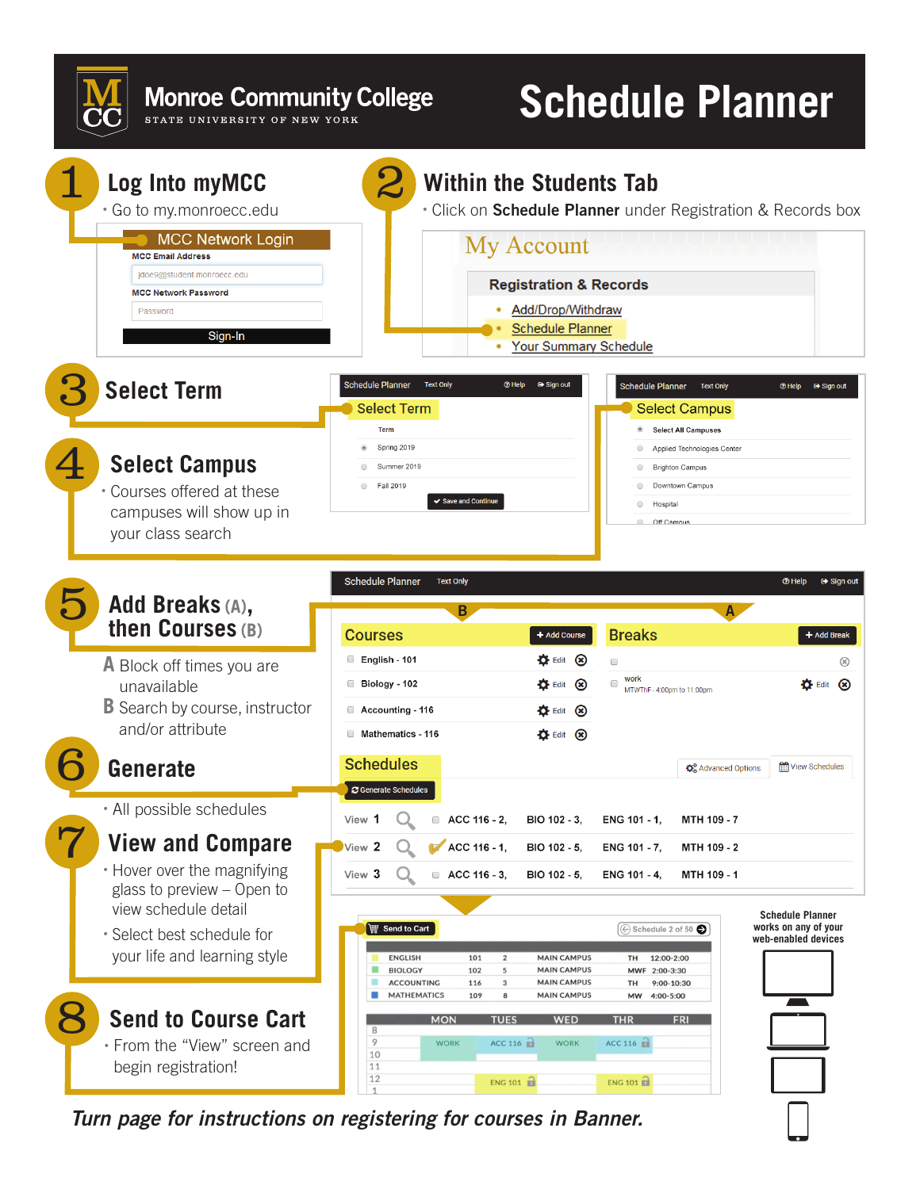**Monroe Community College** STATE UNIVERSITY OF NEW YORK

## **Schedule Planner**



*Turn page for instructions on registering for courses in Banner.*